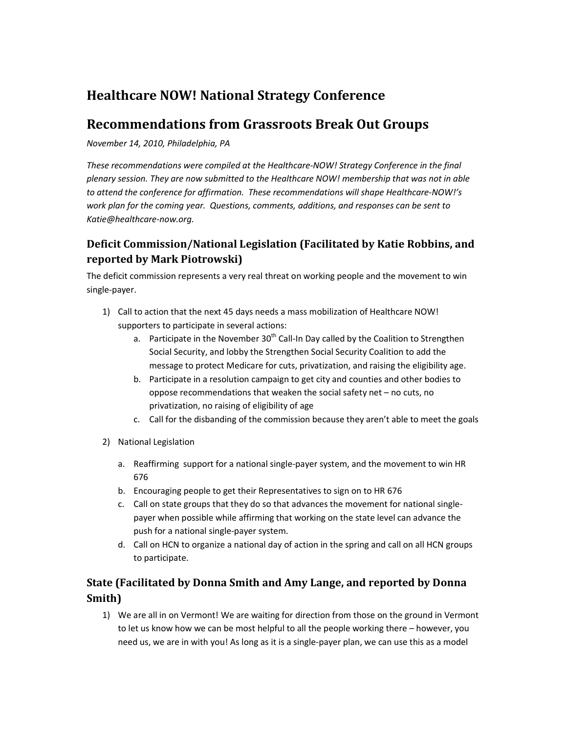# Healthcare NOW! National Strategy Conference

# Recommendations from Grassroots Break Out Groups

November 14, 2010, Philadelphia, PA

These recommendations were compiled at the Healthcare-NOW! Strategy Conference in the final plenary session. They are now submitted to the Healthcare NOW! membership that was not in able to attend the conference for affirmation. These recommendations will shape Healthcare-NOW!'s work plan for the coming year. Questions, comments, additions, and responses can be sent to Katie@healthcare-now.org.

### Deficit Commission/National Legislation (Facilitated by Katie Robbins, and reported by Mark Piotrowski)

The deficit commission represents a very real threat on working people and the movement to win single-payer.

- 1) Call to action that the next 45 days needs a mass mobilization of Healthcare NOW! supporters to participate in several actions:
	- a. Participate in the November  $30<sup>th</sup>$  Call-In Day called by the Coalition to Strengthen Social Security, and lobby the Strengthen Social Security Coalition to add the message to protect Medicare for cuts, privatization, and raising the eligibility age.
	- b. Participate in a resolution campaign to get city and counties and other bodies to oppose recommendations that weaken the social safety net – no cuts, no privatization, no raising of eligibility of age
	- c. Call for the disbanding of the commission because they aren't able to meet the goals
- 2) National Legislation
	- a. Reaffirming support for a national single-payer system, and the movement to win HR 676
	- b. Encouraging people to get their Representatives to sign on to HR 676
	- c. Call on state groups that they do so that advances the movement for national singlepayer when possible while affirming that working on the state level can advance the push for a national single-payer system.
	- d. Call on HCN to organize a national day of action in the spring and call on all HCN groups to participate.

#### State (Facilitated by Donna Smith and Amy Lange, and reported by Donna Smith)

1) We are all in on Vermont! We are waiting for direction from those on the ground in Vermont to let us know how we can be most helpful to all the people working there – however, you need us, we are in with you! As long as it is a single-payer plan, we can use this as a model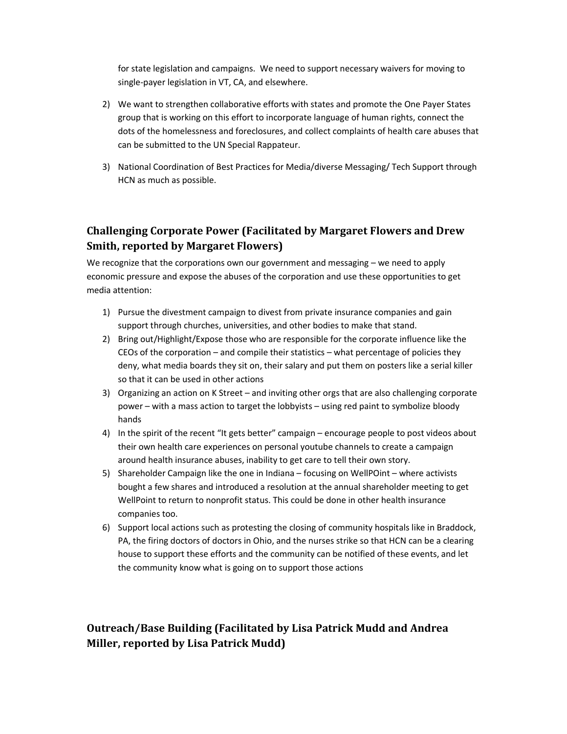for state legislation and campaigns. We need to support necessary waivers for moving to single-payer legislation in VT, CA, and elsewhere.

- 2) We want to strengthen collaborative efforts with states and promote the One Payer States group that is working on this effort to incorporate language of human rights, connect the dots of the homelessness and foreclosures, and collect complaints of health care abuses that can be submitted to the UN Special Rappateur.
- 3) National Coordination of Best Practices for Media/diverse Messaging/ Tech Support through HCN as much as possible.

## Challenging Corporate Power (Facilitated by Margaret Flowers and Drew Smith, reported by Margaret Flowers)

We recognize that the corporations own our government and messaging – we need to apply economic pressure and expose the abuses of the corporation and use these opportunities to get media attention:

- 1) Pursue the divestment campaign to divest from private insurance companies and gain support through churches, universities, and other bodies to make that stand.
- 2) Bring out/Highlight/Expose those who are responsible for the corporate influence like the CEOs of the corporation – and compile their statistics – what percentage of policies they deny, what media boards they sit on, their salary and put them on posters like a serial killer so that it can be used in other actions
- 3) Organizing an action on K Street and inviting other orgs that are also challenging corporate power – with a mass action to target the lobbyists – using red paint to symbolize bloody hands
- 4) In the spirit of the recent "It gets better" campaign encourage people to post videos about their own health care experiences on personal youtube channels to create a campaign around health insurance abuses, inability to get care to tell their own story.
- 5) Shareholder Campaign like the one in Indiana focusing on WellPOint where activists bought a few shares and introduced a resolution at the annual shareholder meeting to get WellPoint to return to nonprofit status. This could be done in other health insurance companies too.
- 6) Support local actions such as protesting the closing of community hospitals like in Braddock, PA, the firing doctors of doctors in Ohio, and the nurses strike so that HCN can be a clearing house to support these efforts and the community can be notified of these events, and let the community know what is going on to support those actions

Outreach/Base Building (Facilitated by Lisa Patrick Mudd and Andrea Miller, reported by Lisa Patrick Mudd)